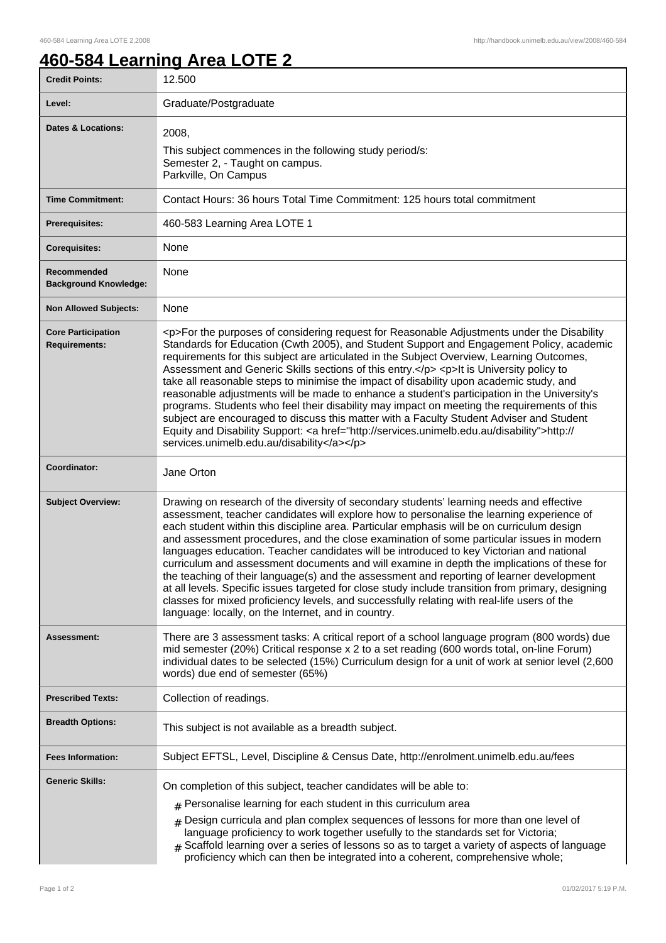## **460-584 Learning Area LOTE 2**

| <b>Credit Points:</b>                             | 12.500                                                                                                                                                                                                                                                                                                                                                                                                                                                                                                                                                                                                                                                                                                                                                                                                                                                                                                                              |
|---------------------------------------------------|-------------------------------------------------------------------------------------------------------------------------------------------------------------------------------------------------------------------------------------------------------------------------------------------------------------------------------------------------------------------------------------------------------------------------------------------------------------------------------------------------------------------------------------------------------------------------------------------------------------------------------------------------------------------------------------------------------------------------------------------------------------------------------------------------------------------------------------------------------------------------------------------------------------------------------------|
| Level:                                            | Graduate/Postgraduate                                                                                                                                                                                                                                                                                                                                                                                                                                                                                                                                                                                                                                                                                                                                                                                                                                                                                                               |
| <b>Dates &amp; Locations:</b>                     | 2008,<br>This subject commences in the following study period/s:<br>Semester 2, - Taught on campus.<br>Parkville, On Campus                                                                                                                                                                                                                                                                                                                                                                                                                                                                                                                                                                                                                                                                                                                                                                                                         |
| <b>Time Commitment:</b>                           | Contact Hours: 36 hours Total Time Commitment: 125 hours total commitment                                                                                                                                                                                                                                                                                                                                                                                                                                                                                                                                                                                                                                                                                                                                                                                                                                                           |
| <b>Prerequisites:</b>                             | 460-583 Learning Area LOTE 1                                                                                                                                                                                                                                                                                                                                                                                                                                                                                                                                                                                                                                                                                                                                                                                                                                                                                                        |
| <b>Corequisites:</b>                              | None                                                                                                                                                                                                                                                                                                                                                                                                                                                                                                                                                                                                                                                                                                                                                                                                                                                                                                                                |
| Recommended<br><b>Background Knowledge:</b>       | None                                                                                                                                                                                                                                                                                                                                                                                                                                                                                                                                                                                                                                                                                                                                                                                                                                                                                                                                |
| <b>Non Allowed Subjects:</b>                      | None                                                                                                                                                                                                                                                                                                                                                                                                                                                                                                                                                                                                                                                                                                                                                                                                                                                                                                                                |
| <b>Core Participation</b><br><b>Requirements:</b> | <p>For the purposes of considering request for Reasonable Adjustments under the Disability<br/>Standards for Education (Cwth 2005), and Student Support and Engagement Policy, academic<br/>requirements for this subject are articulated in the Subject Overview, Learning Outcomes,<br/>Assessment and Generic Skills sections of this entry.</p> <p>lt is University policy to<br/>take all reasonable steps to minimise the impact of disability upon academic study, and<br/>reasonable adjustments will be made to enhance a student's participation in the University's<br/>programs. Students who feel their disability may impact on meeting the requirements of this<br/>subject are encouraged to discuss this matter with a Faculty Student Adviser and Student<br/>Equity and Disability Support: &lt; a href="http://services.unimelb.edu.au/disability"&gt;http://<br/>services.unimelb.edu.au/disability</p>        |
| Coordinator:                                      | Jane Orton                                                                                                                                                                                                                                                                                                                                                                                                                                                                                                                                                                                                                                                                                                                                                                                                                                                                                                                          |
| <b>Subject Overview:</b>                          | Drawing on research of the diversity of secondary students' learning needs and effective<br>assessment, teacher candidates will explore how to personalise the learning experience of<br>each student within this discipline area. Particular emphasis will be on curriculum design<br>and assessment procedures, and the close examination of some particular issues in modern<br>languages education. Teacher candidates will be introduced to key Victorian and national<br>curriculum and assessment documents and will examine in depth the implications of these for<br>the teaching of their language(s) and the assessment and reporting of learner development<br>at all levels. Specific issues targeted for close study include transition from primary, designing<br>classes for mixed proficiency levels, and successfully relating with real-life users of the<br>language: locally, on the Internet, and in country. |
| Assessment:                                       | There are 3 assessment tasks: A critical report of a school language program (800 words) due<br>mid semester (20%) Critical response x 2 to a set reading (600 words total, on-line Forum)<br>individual dates to be selected (15%) Curriculum design for a unit of work at senior level (2,600<br>words) due end of semester (65%)                                                                                                                                                                                                                                                                                                                                                                                                                                                                                                                                                                                                 |
| <b>Prescribed Texts:</b>                          | Collection of readings.                                                                                                                                                                                                                                                                                                                                                                                                                                                                                                                                                                                                                                                                                                                                                                                                                                                                                                             |
| <b>Breadth Options:</b>                           | This subject is not available as a breadth subject.                                                                                                                                                                                                                                                                                                                                                                                                                                                                                                                                                                                                                                                                                                                                                                                                                                                                                 |
| <b>Fees Information:</b>                          | Subject EFTSL, Level, Discipline & Census Date, http://enrolment.unimelb.edu.au/fees                                                                                                                                                                                                                                                                                                                                                                                                                                                                                                                                                                                                                                                                                                                                                                                                                                                |
| <b>Generic Skills:</b>                            | On completion of this subject, teacher candidates will be able to:<br>$#$ Personalise learning for each student in this curriculum area<br>$#$ Design curricula and plan complex sequences of lessons for more than one level of<br>language proficiency to work together usefully to the standards set for Victoria;<br>$#$ Scaffold learning over a series of lessons so as to target a variety of aspects of language<br>proficiency which can then be integrated into a coherent, comprehensive whole;                                                                                                                                                                                                                                                                                                                                                                                                                          |